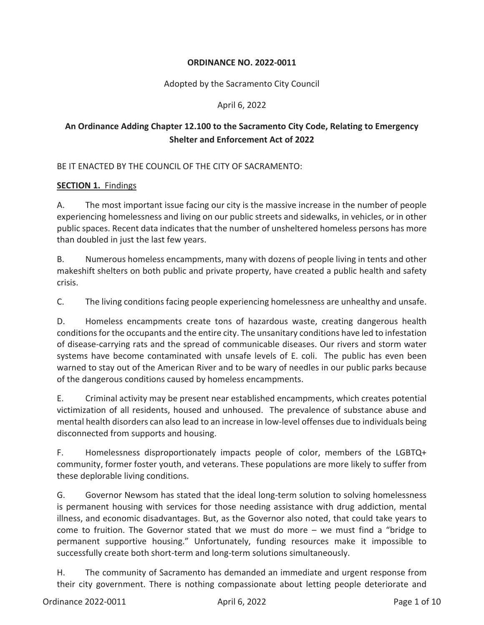### **ORDINANCE NO. 2022-0011**

Adopted by the Sacramento City Council

### April 6, 2022

# **An Ordinance Adding Chapter 12.100 to the Sacramento City Code, Relating to Emergency Shelter and Enforcement Act of 2022**

### BE IT ENACTED BY THE COUNCIL OF THE CITY OF SACRAMENTO:

### **SECTION 1. Findings**

A. The most important issue facing our city is the massive increase in the number of people experiencing homelessness and living on our public streets and sidewalks, in vehicles, or in other public spaces. Recent data indicates that the number of unsheltered homeless persons has more than doubled in just the last few years.

B. Numerous homeless encampments, many with dozens of people living in tents and other makeshift shelters on both public and private property, have created a public health and safety crisis.

C. The living conditions facing people experiencing homelessness are unhealthy and unsafe.

D. Homeless encampments create tons of hazardous waste, creating dangerous health conditions for the occupants and the entire city. The unsanitary conditions have led to infestation of disease-carrying rats and the spread of communicable diseases. Our rivers and storm water systems have become contaminated with unsafe levels of E. coli. The public has even been warned to stay out of the American River and to be wary of needles in our public parks because of the dangerous conditions caused by homeless encampments.

E. Criminal activity may be present near established encampments, which creates potential victimization of all residents, housed and unhoused. The prevalence of substance abuse and mental health disorders can also lead to an increase in low-level offenses due to individuals being disconnected from supports and housing.

F. Homelessness disproportionately impacts people of color, members of the LGBTQ+ community, former foster youth, and veterans. These populations are more likely to suffer from these deplorable living conditions.

G. Governor Newsom has stated that the ideal long-term solution to solving homelessness is permanent housing with services for those needing assistance with drug addiction, mental illness, and economic disadvantages. But, as the Governor also noted, that could take years to come to fruition. The Governor stated that we must do more – we must find a "bridge to permanent supportive housing." Unfortunately, funding resources make it impossible to successfully create both short-term and long-term solutions simultaneously.

H. The community of Sacramento has demanded an immediate and urgent response from their city government. There is nothing compassionate about letting people deteriorate and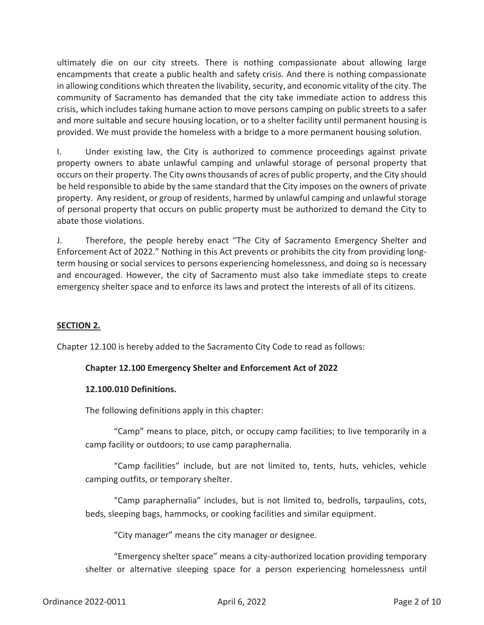ultimately die on our city streets. There is nothing compassionate about allowing large encampments that create a public health and safety crisis. And there is nothing compassionate in allowing conditions which threaten the livability, security, and economic vitality of the city. The community of Sacramento has demanded that the city take immediate action to address this crisis, which includes taking humane action to move persons camping on public streets to a safer and more suitable and secure housing location, or to a shelter facility until permanent housing is provided. We must provide the homeless with a bridge to a more permanent housing solution.

I. Under existing law, the City is authorized to commence proceedings against private property owners to abate unlawful camping and unlawful storage of personal property that occurs on their property. The City owns thousands of acres of public property, and the City should be held responsible to abide by the same standard that the City imposes on the owners of private property. Any resident, or group of residents, harmed by unlawful camping and unlawful storage of personal property that occurs on public property must be authorized to demand the City to abate those violations.

J. Therefore, the people hereby enact "The City of Sacramento Emergency Shelter and Enforcement Act of 2022." Nothing in this Act prevents or prohibits the city from providing longterm housing or social services to persons experiencing homelessness, and doing so is necessary and encouraged. However, the city of Sacramento must also take immediate steps to create emergency shelter space and to enforce its laws and protect the interests of all of its citizens.

#### **SECTION 2.**

Chapter 12.100 is hereby added to the Sacramento City Code to read as follows:

#### **Chapter 12.100 Emergency Shelter and Enforcement Act of 2022**

#### **12.100.010 Definitions.**

The following definitions apply in this chapter:

"Camp" means to place, pitch, or occupy camp facilities; to live temporarily in a camp facility or outdoors; to use camp paraphernalia.

"Camp facilities" include, but are not limited to, tents, huts, vehicles, vehicle camping outfits, or temporary shelter.

"Camp paraphernalia" includes, but is not limited to, bedrolls, tarpaulins, cots, beds, sleeping bags, hammocks, or cooking facilities and similar equipment.

"City manager" means the city manager or designee.

"Emergency shelter space" means a city-authorized location providing temporary shelter or alternative sleeping space for a person experiencing homelessness until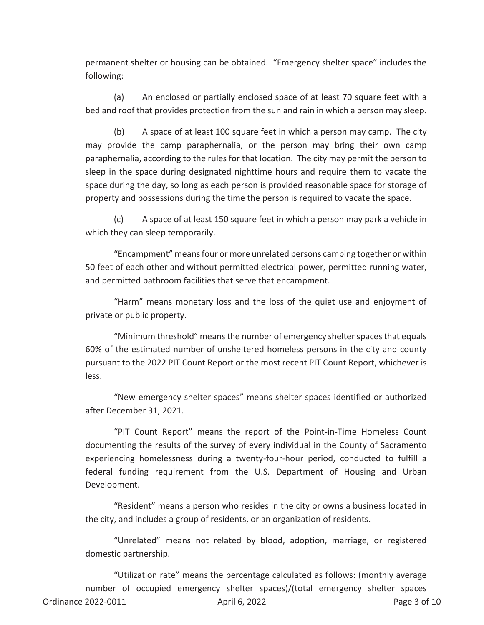permanent shelter or housing can be obtained. "Emergency shelter space" includes the following:

(a) An enclosed or partially enclosed space of at least 70 square feet with a bed and roof that provides protection from the sun and rain in which a person may sleep.

(b) A space of at least 100 square feet in which a person may camp. The city may provide the camp paraphernalia, or the person may bring their own camp paraphernalia, according to the rules for that location. The city may permit the person to sleep in the space during designated nighttime hours and require them to vacate the space during the day, so long as each person is provided reasonable space for storage of property and possessions during the time the person is required to vacate the space.

(c) A space of at least 150 square feet in which a person may park a vehicle in which they can sleep temporarily.

"Encampment" means four or more unrelated persons camping together or within 50 feet of each other and without permitted electrical power, permitted running water, and permitted bathroom facilities that serve that encampment.

"Harm" means monetary loss and the loss of the quiet use and enjoyment of private or public property.

"Minimum threshold" means the number of emergency shelter spaces that equals 60% of the estimated number of unsheltered homeless persons in the city and county pursuant to the 2022 PIT Count Report or the most recent PIT Count Report, whichever is less.

"New emergency shelter spaces" means shelter spaces identified or authorized after December 31, 2021.

"PIT Count Report" means the report of the Point-in-Time Homeless Count documenting the results of the survey of every individual in the County of Sacramento experiencing homelessness during a twenty-four-hour period, conducted to fulfill a federal funding requirement from the U.S. Department of Housing and Urban Development.

"Resident" means a person who resides in the city or owns a business located in the city, and includes a group of residents, or an organization of residents.

"Unrelated" means not related by blood, adoption, marriage, or registered domestic partnership.

"Utilization rate" means the percentage calculated as follows: (monthly average number of occupied emergency shelter spaces)/(total emergency shelter spaces Ordinance 2022-0011 **April 6, 2022 Page 3 of 10**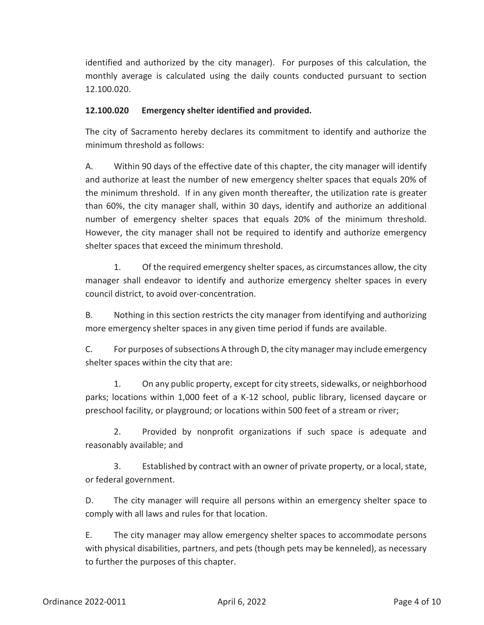identified and authorized by the city manager). For purposes of this calculation, the monthly average is calculated using the daily counts conducted pursuant to section 12.100.020.

### **12.100.020 Emergency shelter identified and provided.**

The city of Sacramento hereby declares its commitment to identify and authorize the minimum threshold as follows:

A. Within 90 days of the effective date of this chapter, the city manager will identify and authorize at least the number of new emergency shelter spaces that equals 20% of the minimum threshold. If in any given month thereafter, the utilization rate is greater than 60%, the city manager shall, within 30 days, identify and authorize an additional number of emergency shelter spaces that equals 20% of the minimum threshold. However, the city manager shall not be required to identify and authorize emergency shelter spaces that exceed the minimum threshold.

 1. Of the required emergency shelter spaces, as circumstances allow, the city manager shall endeavor to identify and authorize emergency shelter spaces in every council district, to avoid over-concentration.

B. Nothing in this section restricts the city manager from identifying and authorizing more emergency shelter spaces in any given time period if funds are available.

C. For purposes of subsections A through D, the city manager may include emergency shelter spaces within the city that are:

1. On any public property, except for city streets, sidewalks, or neighborhood parks; locations within 1,000 feet of a K-12 school, public library, licensed daycare or preschool facility, or playground; or locations within 500 feet of a stream or river;

2. Provided by nonprofit organizations if such space is adequate and reasonably available; and

3. Established by contract with an owner of private property, or a local, state, or federal government.

D. The city manager will require all persons within an emergency shelter space to comply with all laws and rules for that location.

E. The city manager may allow emergency shelter spaces to accommodate persons with physical disabilities, partners, and pets (though pets may be kenneled), as necessary to further the purposes of this chapter.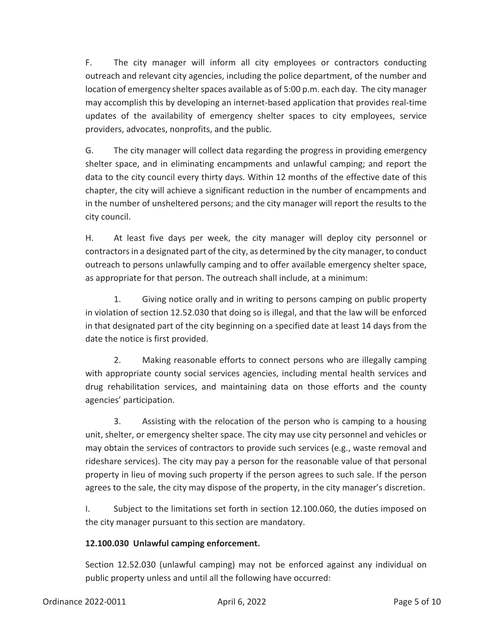F. The city manager will inform all city employees or contractors conducting outreach and relevant city agencies, including the police department, of the number and location of emergency shelter spaces available as of 5:00 p.m. each day. The city manager may accomplish this by developing an internet-based application that provides real-time updates of the availability of emergency shelter spaces to city employees, service providers, advocates, nonprofits, and the public.

G. The city manager will collect data regarding the progress in providing emergency shelter space, and in eliminating encampments and unlawful camping; and report the data to the city council every thirty days. Within 12 months of the effective date of this chapter, the city will achieve a significant reduction in the number of encampments and in the number of unsheltered persons; and the city manager will report the results to the city council.

H. At least five days per week, the city manager will deploy city personnel or contractors in a designated part of the city, as determined by the city manager, to conduct outreach to persons unlawfully camping and to offer available emergency shelter space, as appropriate for that person. The outreach shall include, at a minimum:

1. Giving notice orally and in writing to persons camping on public property in violation of section 12.52.030 that doing so is illegal, and that the law will be enforced in that designated part of the city beginning on a specified date at least 14 days from the date the notice is first provided.

2. Making reasonable efforts to connect persons who are illegally camping with appropriate county social services agencies, including mental health services and drug rehabilitation services, and maintaining data on those efforts and the county agencies' participation.

3. Assisting with the relocation of the person who is camping to a housing unit, shelter, or emergency shelter space. The city may use city personnel and vehicles or may obtain the services of contractors to provide such services (e.g., waste removal and rideshare services). The city may pay a person for the reasonable value of that personal property in lieu of moving such property if the person agrees to such sale. If the person agrees to the sale, the city may dispose of the property, in the city manager's discretion.

I. Subject to the limitations set forth in section 12.100.060, the duties imposed on the city manager pursuant to this section are mandatory.

## **12.100.030 Unlawful camping enforcement.**

Section 12.52.030 (unlawful camping) may not be enforced against any individual on public property unless and until all the following have occurred: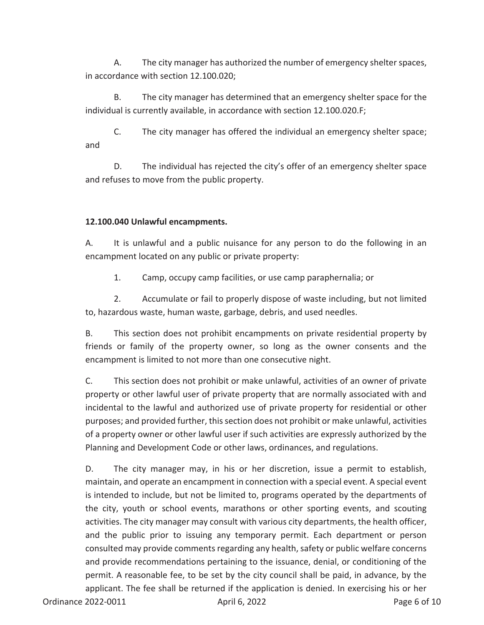A. The city manager has authorized the number of emergency shelter spaces, in accordance with section 12.100.020;

B. The city manager has determined that an emergency shelter space for the individual is currently available, in accordance with section 12.100.020.F;

C. The city manager has offered the individual an emergency shelter space; and

D. The individual has rejected the city's offer of an emergency shelter space and refuses to move from the public property.

### **12.100.040 Unlawful encampments.**

A. It is unlawful and a public nuisance for any person to do the following in an encampment located on any public or private property:

1. Camp, occupy camp facilities, or use camp paraphernalia; or

 2. Accumulate or fail to properly dispose of waste including, but not limited to, hazardous waste, human waste, garbage, debris, and used needles.

B. This section does not prohibit encampments on private residential property by friends or family of the property owner, so long as the owner consents and the encampment is limited to not more than one consecutive night.

C. This section does not prohibit or make unlawful, activities of an owner of private property or other lawful user of private property that are normally associated with and incidental to the lawful and authorized use of private property for residential or other purposes; and provided further, this section does not prohibit or make unlawful, activities of a property owner or other lawful user if such activities are expressly authorized by the Planning and Development Code or other laws, ordinances, and regulations.

D. The city manager may, in his or her discretion, issue a permit to establish, maintain, and operate an encampment in connection with a special event. A special event is intended to include, but not be limited to, programs operated by the departments of the city, youth or school events, marathons or other sporting events, and scouting activities. The city manager may consult with various city departments, the health officer, and the public prior to issuing any temporary permit. Each department or person consulted may provide comments regarding any health, safety or public welfare concerns and provide recommendations pertaining to the issuance, denial, or conditioning of the permit. A reasonable fee, to be set by the city council shall be paid, in advance, by the applicant. The fee shall be returned if the application is denied. In exercising his or her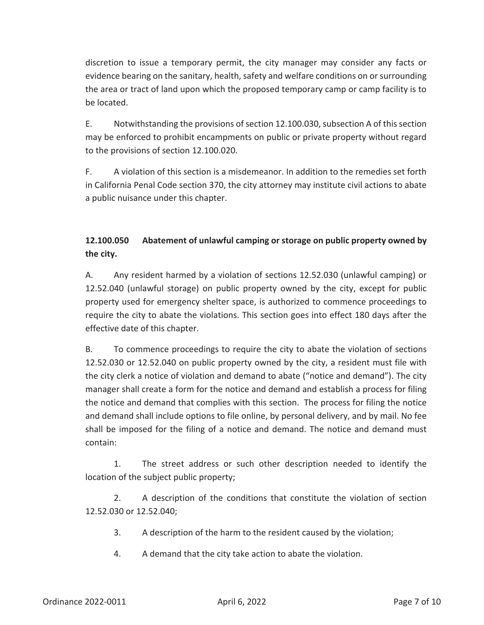discretion to issue a temporary permit, the city manager may consider any facts or evidence bearing on the sanitary, health, safety and welfare conditions on or surrounding the area or tract of land upon which the proposed temporary camp or camp facility is to be located.

E. Notwithstanding the provisions of section 12.100.030, subsection A of this section may be enforced to prohibit encampments on public or private property without regard to the provisions of section 12.100.020.

F. A violation of this section is a misdemeanor. In addition to the remedies set forth in California Penal Code section 370, the city attorney may institute civil actions to abate a public nuisance under this chapter.

# **12.100.050 Abatement of unlawful camping or storage on public property owned by the city.**

A. Any resident harmed by a violation of sections 12.52.030 (unlawful camping) or 12.52.040 (unlawful storage) on public property owned by the city, except for public property used for emergency shelter space, is authorized to commence proceedings to require the city to abate the violations. This section goes into effect 180 days after the effective date of this chapter.

B. To commence proceedings to require the city to abate the violation of sections 12.52.030 or 12.52.040 on public property owned by the city, a resident must file with the city clerk a notice of violation and demand to abate ("notice and demand"). The city manager shall create a form for the notice and demand and establish a process for filing the notice and demand that complies with this section. The process for filing the notice and demand shall include options to file online, by personal delivery, and by mail. No fee shall be imposed for the filing of a notice and demand. The notice and demand must contain:

1. The street address or such other description needed to identify the location of the subject public property;

2. A description of the conditions that constitute the violation of section 12.52.030 or 12.52.040;

- 3. A description of the harm to the resident caused by the violation;
- 4. A demand that the city take action to abate the violation.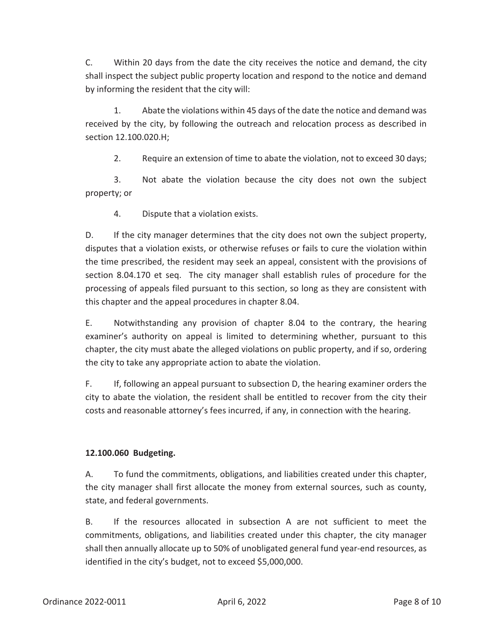C. Within 20 days from the date the city receives the notice and demand, the city shall inspect the subject public property location and respond to the notice and demand by informing the resident that the city will:

1. Abate the violations within 45 days of the date the notice and demand was received by the city, by following the outreach and relocation process as described in section 12.100.020.H;

2. Require an extension of time to abate the violation, not to exceed 30 days;

3. Not abate the violation because the city does not own the subject property; or

4. Dispute that a violation exists.

D. If the city manager determines that the city does not own the subject property, disputes that a violation exists, or otherwise refuses or fails to cure the violation within the time prescribed, the resident may seek an appeal, consistent with the provisions of section 8.04.170 et seq. The city manager shall establish rules of procedure for the processing of appeals filed pursuant to this section, so long as they are consistent with this chapter and the appeal procedures in chapter 8.04.

E. Notwithstanding any provision of chapter 8.04 to the contrary, the hearing examiner's authority on appeal is limited to determining whether, pursuant to this chapter, the city must abate the alleged violations on public property, and if so, ordering the city to take any appropriate action to abate the violation.

F. If, following an appeal pursuant to subsection D, the hearing examiner orders the city to abate the violation, the resident shall be entitled to recover from the city their costs and reasonable attorney's fees incurred, if any, in connection with the hearing.

### **12.100.060 Budgeting.**

A. To fund the commitments, obligations, and liabilities created under this chapter, the city manager shall first allocate the money from external sources, such as county, state, and federal governments.

B. If the resources allocated in subsection A are not sufficient to meet the commitments, obligations, and liabilities created under this chapter, the city manager shall then annually allocate up to 50% of unobligated general fund year-end resources, as identified in the city's budget, not to exceed \$5,000,000.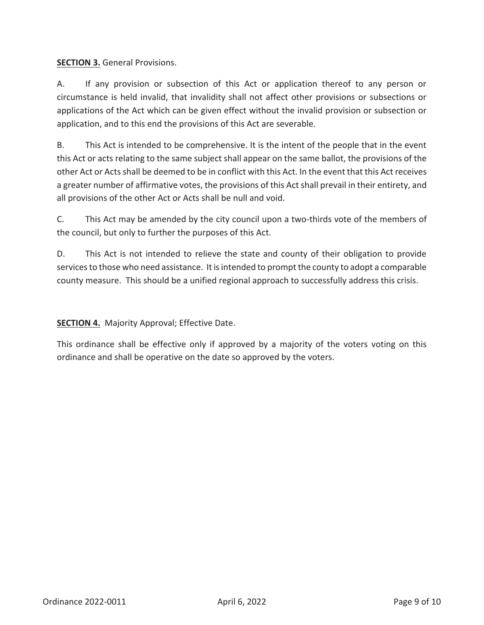**SECTION 3.** General Provisions.

A. If any provision or subsection of this Act or application thereof to any person or circumstance is held invalid, that invalidity shall not affect other provisions or subsections or applications of the Act which can be given effect without the invalid provision or subsection or application, and to this end the provisions of this Act are severable.

B. This Act is intended to be comprehensive. It is the intent of the people that in the event this Act or acts relating to the same subject shall appear on the same ballot, the provisions of the other Act or Acts shall be deemed to be in conflict with this Act. In the event that this Act receives a greater number of affirmative votes, the provisions of this Act shall prevail in their entirety, and all provisions of the other Act or Acts shall be null and void.

C. This Act may be amended by the city council upon a two-thirds vote of the members of the council, but only to further the purposes of this Act.

D. This Act is not intended to relieve the state and county of their obligation to provide services to those who need assistance. It is intended to prompt the county to adopt a comparable county measure. This should be a unified regional approach to successfully address this crisis.

**SECTION 4.** Majority Approval; Effective Date.

This ordinance shall be effective only if approved by a majority of the voters voting on this ordinance and shall be operative on the date so approved by the voters.